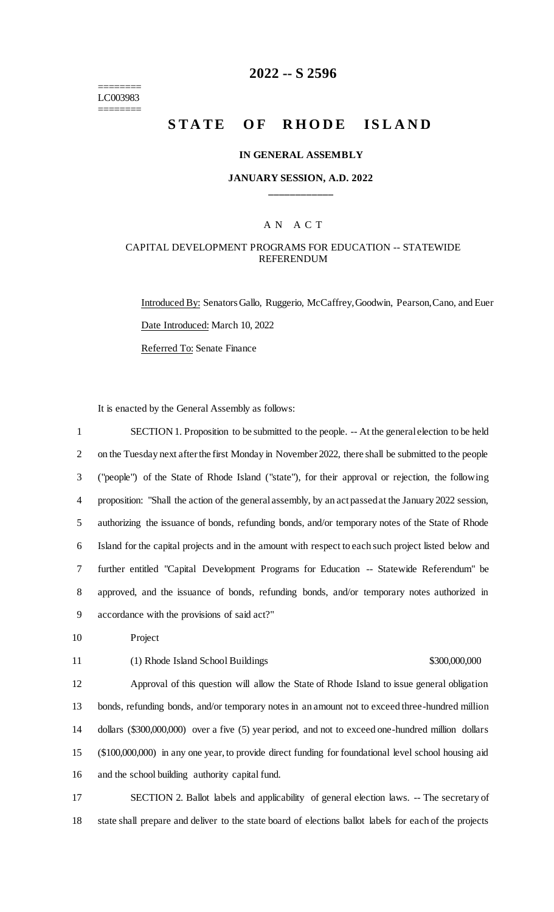======== LC003983 ========

## **2022 -- S 2596**

# **STATE OF RHODE ISLAND**

## **IN GENERAL ASSEMBLY**

## **JANUARY SESSION, A.D. 2022 \_\_\_\_\_\_\_\_\_\_\_\_**

## A N A C T

## CAPITAL DEVELOPMENT PROGRAMS FOR EDUCATION -- STATEWIDE REFERENDUM

Introduced By: Senators Gallo, Ruggerio, McCaffrey, Goodwin, Pearson, Cano, and Euer Date Introduced: March 10, 2022 Referred To: Senate Finance

It is enacted by the General Assembly as follows:

| $\mathbf{1}$   | SECTION 1. Proposition to be submitted to the people. -- At the general election to be held           |
|----------------|-------------------------------------------------------------------------------------------------------|
| $\overline{2}$ | on the Tuesday next after the first Monday in November 2022, there shall be submitted to the people   |
| 3              | ("people") of the State of Rhode Island ("state"), for their approval or rejection, the following     |
| 4              | proposition: "Shall the action of the general assembly, by an act passed at the January 2022 session, |
| 5 <sup>5</sup> | authorizing the issuance of bonds, refunding bonds, and/or temporary notes of the State of Rhode      |
| 6              | Island for the capital projects and in the amount with respect to each such project listed below and  |
| $\tau$         | further entitled "Capital Development Programs for Education -- Statewide Referendum" be              |
| 8              | approved, and the issuance of bonds, refunding bonds, and/or temporary notes authorized in            |
| 9              | accordance with the provisions of said act?"                                                          |
|                |                                                                                                       |

10 Project

## 11 (1) Rhode Island School Buildings \$300,000,000

 Approval of this question will allow the State of Rhode Island to issue general obligation bonds, refunding bonds, and/or temporary notes in an amount not to exceed three-hundred million dollars (\$300,000,000) over a five (5) year period, and not to exceed one-hundred million dollars (\$100,000,000) in any one year, to provide direct funding for foundational level school housing aid and the school building authority capital fund.

17 SECTION 2. Ballot labels and applicability of general election laws. -- The secretary of 18 state shall prepare and deliver to the state board of elections ballot labels for each of the projects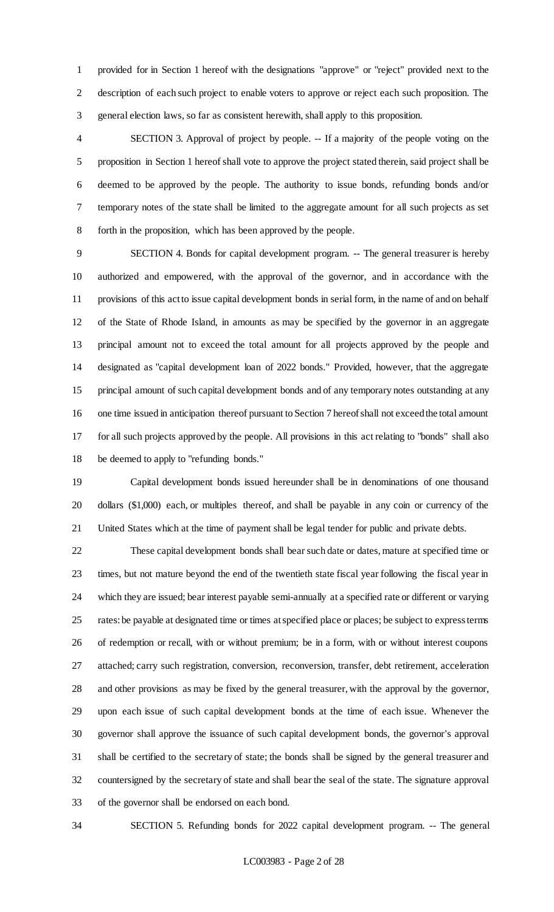provided for in Section 1 hereof with the designations "approve" or "reject" provided next to the description of each such project to enable voters to approve or reject each such proposition. The general election laws, so far as consistent herewith, shall apply to this proposition.

 SECTION 3. Approval of project by people. -- If a majority of the people voting on the proposition in Section 1 hereof shall vote to approve the project stated therein, said project shall be deemed to be approved by the people. The authority to issue bonds, refunding bonds and/or temporary notes of the state shall be limited to the aggregate amount for all such projects as set forth in the proposition, which has been approved by the people.

 SECTION 4. Bonds for capital development program. -- The general treasurer is hereby authorized and empowered, with the approval of the governor, and in accordance with the provisions of this act to issue capital development bonds in serial form, in the name of and on behalf of the State of Rhode Island, in amounts as may be specified by the governor in an aggregate principal amount not to exceed the total amount for all projects approved by the people and designated as "capital development loan of 2022 bonds." Provided, however, that the aggregate principal amount of such capital development bonds and of any temporary notes outstanding at any one time issued in anticipation thereof pursuant to Section 7 hereof shall not exceed the total amount for all such projects approved by the people. All provisions in this act relating to "bonds" shall also be deemed to apply to "refunding bonds."

 Capital development bonds issued hereunder shall be in denominations of one thousand dollars (\$1,000) each, or multiples thereof, and shall be payable in any coin or currency of the United States which at the time of payment shall be legal tender for public and private debts.

 These capital development bonds shall bear such date or dates, mature at specified time or times, but not mature beyond the end of the twentieth state fiscal year following the fiscal year in which they are issued; bear interest payable semi-annually at a specified rate or different or varying rates: be payable at designated time or times at specified place or places; be subject to express terms of redemption or recall, with or without premium; be in a form, with or without interest coupons attached; carry such registration, conversion, reconversion, transfer, debt retirement, acceleration and other provisions as may be fixed by the general treasurer, with the approval by the governor, upon each issue of such capital development bonds at the time of each issue. Whenever the governor shall approve the issuance of such capital development bonds, the governor's approval shall be certified to the secretary of state; the bonds shall be signed by the general treasurer and countersigned by the secretary of state and shall bear the seal of the state. The signature approval of the governor shall be endorsed on each bond.

SECTION 5. Refunding bonds for 2022 capital development program. -- The general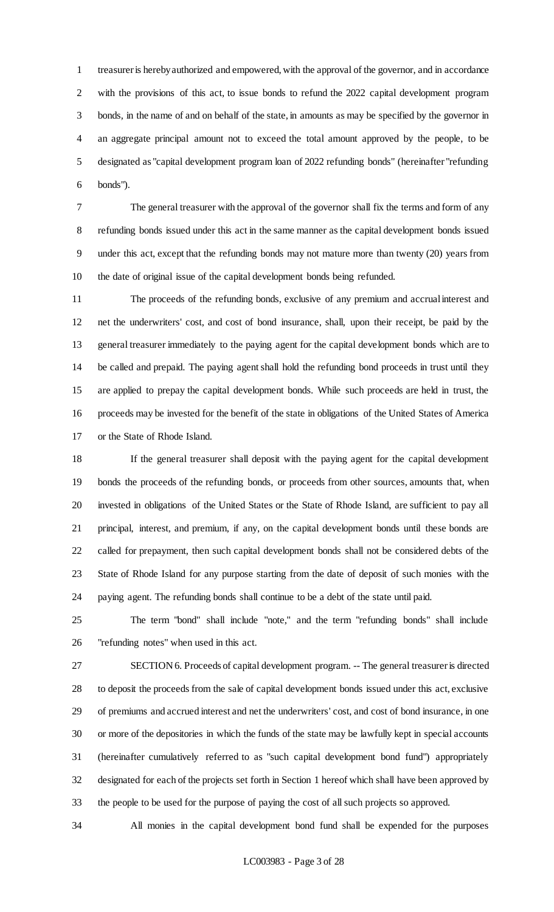treasurer is hereby authorized and empowered, with the approval of the governor, and in accordance with the provisions of this act, to issue bonds to refund the 2022 capital development program bonds, in the name of and on behalf of the state, in amounts as may be specified by the governor in an aggregate principal amount not to exceed the total amount approved by the people, to be designated as "capital development program loan of 2022 refunding bonds" (hereinafter "refunding bonds").

 The general treasurer with the approval of the governor shall fix the terms and form of any refunding bonds issued under this act in the same manner as the capital development bonds issued under this act, except that the refunding bonds may not mature more than twenty (20) years from the date of original issue of the capital development bonds being refunded.

 The proceeds of the refunding bonds, exclusive of any premium and accrual interest and net the underwriters' cost, and cost of bond insurance, shall, upon their receipt, be paid by the general treasurer immediately to the paying agent for the capital development bonds which are to be called and prepaid. The paying agent shall hold the refunding bond proceeds in trust until they are applied to prepay the capital development bonds. While such proceeds are held in trust, the proceeds may be invested for the benefit of the state in obligations of the United States of America or the State of Rhode Island.

 If the general treasurer shall deposit with the paying agent for the capital development bonds the proceeds of the refunding bonds, or proceeds from other sources, amounts that, when invested in obligations of the United States or the State of Rhode Island, are sufficient to pay all principal, interest, and premium, if any, on the capital development bonds until these bonds are called for prepayment, then such capital development bonds shall not be considered debts of the State of Rhode Island for any purpose starting from the date of deposit of such monies with the paying agent. The refunding bonds shall continue to be a debt of the state until paid.

 The term "bond" shall include "note," and the term "refunding bonds" shall include "refunding notes" when used in this act.

 SECTION 6. Proceeds of capital development program. -- The general treasurer is directed to deposit the proceeds from the sale of capital development bonds issued under this act, exclusive of premiums and accrued interest and net the underwriters' cost, and cost of bond insurance, in one or more of the depositories in which the funds of the state may be lawfully kept in special accounts (hereinafter cumulatively referred to as "such capital development bond fund") appropriately designated for each of the projects set forth in Section 1 hereof which shall have been approved by the people to be used for the purpose of paying the cost of all such projects so approved.

All monies in the capital development bond fund shall be expended for the purposes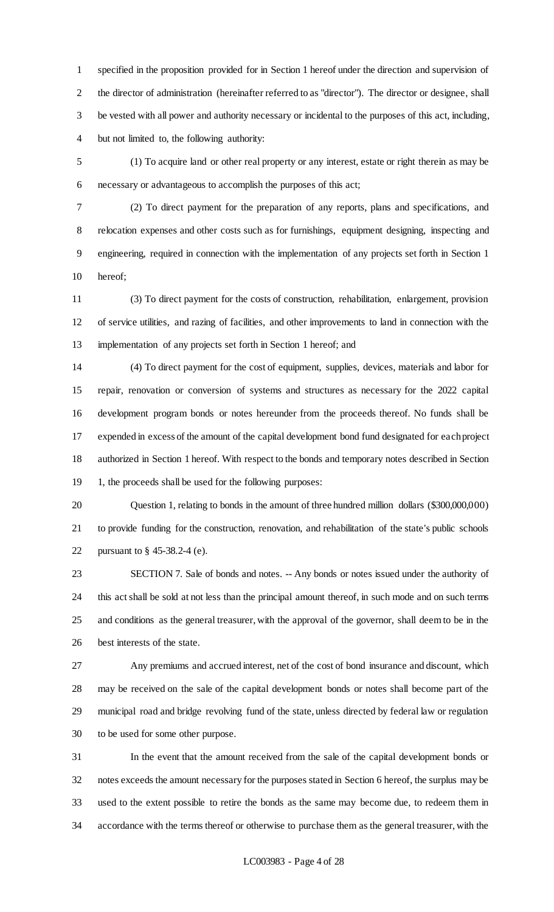specified in the proposition provided for in Section 1 hereof under the direction and supervision of the director of administration (hereinafter referred to as "director"). The director or designee, shall be vested with all power and authority necessary or incidental to the purposes of this act, including, but not limited to, the following authority:

 (1) To acquire land or other real property or any interest, estate or right therein as may be necessary or advantageous to accomplish the purposes of this act;

 (2) To direct payment for the preparation of any reports, plans and specifications, and relocation expenses and other costs such as for furnishings, equipment designing, inspecting and engineering, required in connection with the implementation of any projects set forth in Section 1 hereof;

 (3) To direct payment for the costs of construction, rehabilitation, enlargement, provision of service utilities, and razing of facilities, and other improvements to land in connection with the implementation of any projects set forth in Section 1 hereof; and

 (4) To direct payment for the cost of equipment, supplies, devices, materials and labor for repair, renovation or conversion of systems and structures as necessary for the 2022 capital development program bonds or notes hereunder from the proceeds thereof. No funds shall be expended in excess of the amount of the capital development bond fund designated for each project authorized in Section 1 hereof. With respect to the bonds and temporary notes described in Section 1, the proceeds shall be used for the following purposes:

 Question 1, relating to bonds in the amount of three hundred million dollars (\$300,000,000) to provide funding for the construction, renovation, and rehabilitation of the state's public schools pursuant to § 45-38.2-4 (e).

 SECTION 7. Sale of bonds and notes. -- Any bonds or notes issued under the authority of this act shall be sold at not less than the principal amount thereof, in such mode and on such terms and conditions as the general treasurer, with the approval of the governor, shall deem to be in the best interests of the state.

 Any premiums and accrued interest, net of the cost of bond insurance and discount, which may be received on the sale of the capital development bonds or notes shall become part of the municipal road and bridge revolving fund of the state, unless directed by federal law or regulation to be used for some other purpose.

 In the event that the amount received from the sale of the capital development bonds or notes exceeds the amount necessary for the purposes stated in Section 6 hereof, the surplus may be used to the extent possible to retire the bonds as the same may become due, to redeem them in accordance with the terms thereof or otherwise to purchase them as the general treasurer, with the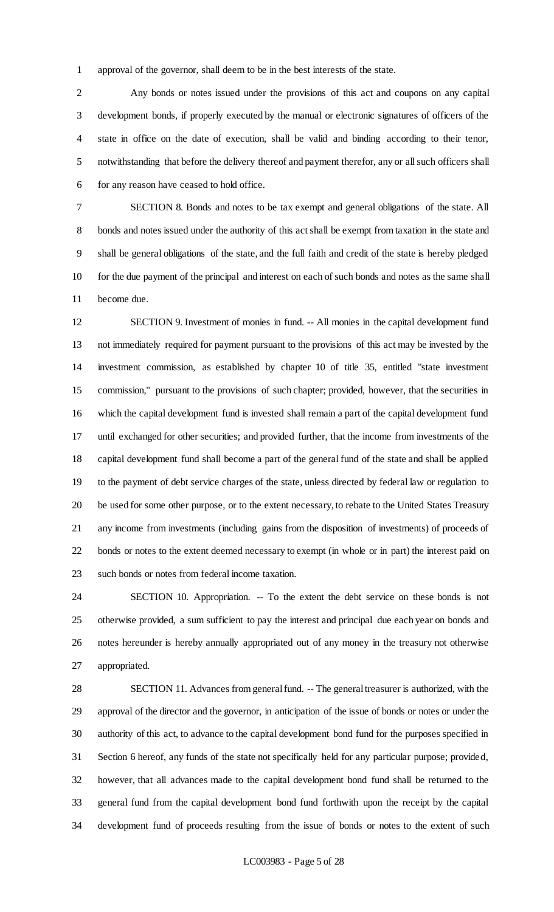approval of the governor, shall deem to be in the best interests of the state.

 Any bonds or notes issued under the provisions of this act and coupons on any capital development bonds, if properly executed by the manual or electronic signatures of officers of the state in office on the date of execution, shall be valid and binding according to their tenor, notwithstanding that before the delivery thereof and payment therefor, any or all such officers shall for any reason have ceased to hold office.

 SECTION 8. Bonds and notes to be tax exempt and general obligations of the state. All bonds and notes issued under the authority of this act shall be exempt from taxation in the state and shall be general obligations of the state, and the full faith and credit of the state is hereby pledged for the due payment of the principal and interest on each of such bonds and notes as the same shall become due.

 SECTION 9. Investment of monies in fund. -- All monies in the capital development fund not immediately required for payment pursuant to the provisions of this act may be invested by the investment commission, as established by chapter 10 of title 35, entitled "state investment commission," pursuant to the provisions of such chapter; provided, however, that the securities in which the capital development fund is invested shall remain a part of the capital development fund until exchanged for other securities; and provided further, that the income from investments of the capital development fund shall become a part of the general fund of the state and shall be applied to the payment of debt service charges of the state, unless directed by federal law or regulation to be used for some other purpose, or to the extent necessary, to rebate to the United States Treasury any income from investments (including gains from the disposition of investments) of proceeds of bonds or notes to the extent deemed necessary to exempt (in whole or in part) the interest paid on such bonds or notes from federal income taxation.

 SECTION 10. Appropriation. -- To the extent the debt service on these bonds is not otherwise provided, a sum sufficient to pay the interest and principal due each year on bonds and notes hereunder is hereby annually appropriated out of any money in the treasury not otherwise appropriated.

 SECTION 11. Advances from general fund. -- The general treasurer is authorized, with the approval of the director and the governor, in anticipation of the issue of bonds or notes or under the authority of this act, to advance to the capital development bond fund for the purposes specified in Section 6 hereof, any funds of the state not specifically held for any particular purpose; provided, however, that all advances made to the capital development bond fund shall be returned to the general fund from the capital development bond fund forthwith upon the receipt by the capital development fund of proceeds resulting from the issue of bonds or notes to the extent of such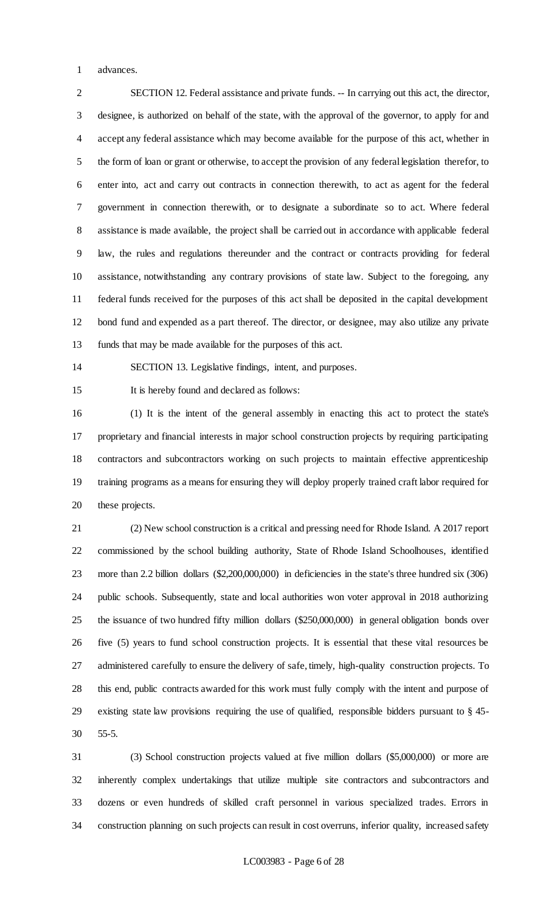advances.

 SECTION 12. Federal assistance and private funds. -- In carrying out this act, the director, designee, is authorized on behalf of the state, with the approval of the governor, to apply for and accept any federal assistance which may become available for the purpose of this act, whether in the form of loan or grant or otherwise, to accept the provision of any federal legislation therefor, to enter into, act and carry out contracts in connection therewith, to act as agent for the federal government in connection therewith, or to designate a subordinate so to act. Where federal assistance is made available, the project shall be carried out in accordance with applicable federal law, the rules and regulations thereunder and the contract or contracts providing for federal assistance, notwithstanding any contrary provisions of state law. Subject to the foregoing, any federal funds received for the purposes of this act shall be deposited in the capital development bond fund and expended as a part thereof. The director, or designee, may also utilize any private funds that may be made available for the purposes of this act.

SECTION 13. Legislative findings, intent, and purposes.

It is hereby found and declared as follows:

 (1) It is the intent of the general assembly in enacting this act to protect the state's proprietary and financial interests in major school construction projects by requiring participating contractors and subcontractors working on such projects to maintain effective apprenticeship training programs as a means for ensuring they will deploy properly trained craft labor required for these projects.

 (2) New school construction is a critical and pressing need for Rhode Island. A 2017 report commissioned by the school building authority, State of Rhode Island Schoolhouses, identified more than 2.2 billion dollars (\$2,200,000,000) in deficiencies in the state's three hundred six (306) public schools. Subsequently, state and local authorities won voter approval in 2018 authorizing the issuance of two hundred fifty million dollars (\$250,000,000) in general obligation bonds over five (5) years to fund school construction projects. It is essential that these vital resources be administered carefully to ensure the delivery of safe, timely, high-quality construction projects. To this end, public contracts awarded for this work must fully comply with the intent and purpose of existing state law provisions requiring the use of qualified, responsible bidders pursuant to § 45- 55-5.

 (3) School construction projects valued at five million dollars (\$5,000,000) or more are inherently complex undertakings that utilize multiple site contractors and subcontractors and dozens or even hundreds of skilled craft personnel in various specialized trades. Errors in construction planning on such projects can result in cost overruns, inferior quality, increased safety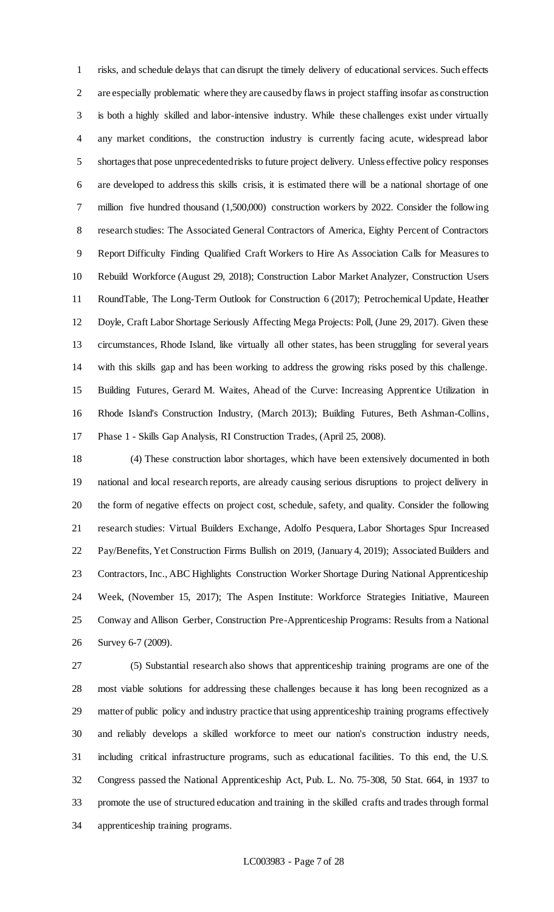risks, and schedule delays that can disrupt the timely delivery of educational services. Such effects are especially problematic where they are caused by flaws in project staffing insofar as construction is both a highly skilled and labor-intensive industry. While these challenges exist under virtually any market conditions, the construction industry is currently facing acute, widespread labor shortages that pose unprecedented risks to future project delivery. Unless effective policy responses are developed to address this skills crisis, it is estimated there will be a national shortage of one million five hundred thousand (1,500,000) construction workers by 2022. Consider the following research studies: The Associated General Contractors of America, Eighty Percent of Contractors Report Difficulty Finding Qualified Craft Workers to Hire As Association Calls for Measures to Rebuild Workforce (August 29, 2018); Construction Labor Market Analyzer, Construction Users RoundTable, The Long-Term Outlook for Construction 6 (2017); Petrochemical Update, Heather Doyle, Craft Labor Shortage Seriously Affecting Mega Projects: Poll, (June 29, 2017). Given these circumstances, Rhode Island, like virtually all other states, has been struggling for several years with this skills gap and has been working to address the growing risks posed by this challenge. Building Futures, Gerard M. Waites, Ahead of the Curve: Increasing Apprentice Utilization in Rhode Island's Construction Industry, (March 2013); Building Futures, Beth Ashman-Collins, Phase 1 - Skills Gap Analysis, RI Construction Trades, (April 25, 2008).

 (4) These construction labor shortages, which have been extensively documented in both national and local research reports, are already causing serious disruptions to project delivery in the form of negative effects on project cost, schedule, safety, and quality. Consider the following research studies: Virtual Builders Exchange, Adolfo Pesquera, Labor Shortages Spur Increased Pay/Benefits, Yet Construction Firms Bullish on 2019, (January 4, 2019); Associated Builders and Contractors, Inc., ABC Highlights Construction Worker Shortage During National Apprenticeship Week, (November 15, 2017); The Aspen Institute: Workforce Strategies Initiative, Maureen Conway and Allison Gerber, Construction Pre-Apprenticeship Programs: Results from a National Survey 6-7 (2009).

 (5) Substantial research also shows that apprenticeship training programs are one of the most viable solutions for addressing these challenges because it has long been recognized as a matter of public policy and industry practice that using apprenticeship training programs effectively and reliably develops a skilled workforce to meet our nation's construction industry needs, including critical infrastructure programs, such as educational facilities. To this end, the U.S. Congress passed the National Apprenticeship Act, Pub. L. No. 75-308, 50 Stat. 664, in 1937 to promote the use of structured education and training in the skilled crafts and trades through formal apprenticeship training programs.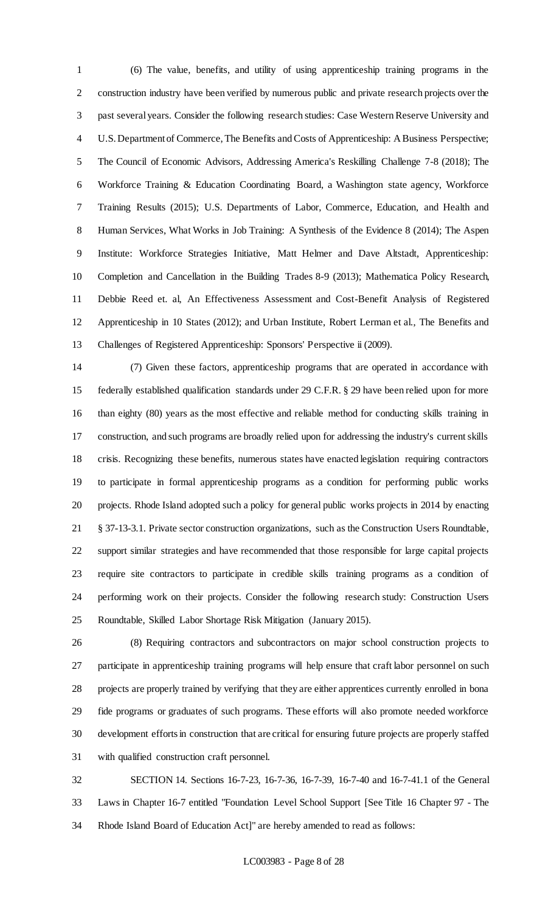(6) The value, benefits, and utility of using apprenticeship training programs in the construction industry have been verified by numerous public and private research projects over the past several years. Consider the following research studies: Case Western Reserve University and U.S. Department of Commerce, The Benefits and Costs of Apprenticeship: A Business Perspective; The Council of Economic Advisors, Addressing America's Reskilling Challenge 7-8 (2018); The Workforce Training & Education Coordinating Board, a Washington state agency, Workforce Training Results (2015); U.S. Departments of Labor, Commerce, Education, and Health and Human Services, What Works in Job Training: A Synthesis of the Evidence 8 (2014); The Aspen Institute: Workforce Strategies Initiative, Matt Helmer and Dave Altstadt, Apprenticeship: Completion and Cancellation in the Building Trades 8-9 (2013); Mathematica Policy Research, Debbie Reed et. al, An Effectiveness Assessment and Cost-Benefit Analysis of Registered Apprenticeship in 10 States (2012); and Urban Institute, Robert Lerman et al., The Benefits and Challenges of Registered Apprenticeship: Sponsors' Perspective ii (2009).

 (7) Given these factors, apprenticeship programs that are operated in accordance with federally established qualification standards under 29 C.F.R. § 29 have been relied upon for more than eighty (80) years as the most effective and reliable method for conducting skills training in construction, and such programs are broadly relied upon for addressing the industry's current skills crisis. Recognizing these benefits, numerous states have enacted legislation requiring contractors to participate in formal apprenticeship programs as a condition for performing public works projects. Rhode Island adopted such a policy for general public works projects in 2014 by enacting § 37-13-3.1. Private sector construction organizations, such as the Construction Users Roundtable, support similar strategies and have recommended that those responsible for large capital projects require site contractors to participate in credible skills training programs as a condition of performing work on their projects. Consider the following research study: Construction Users Roundtable, Skilled Labor Shortage Risk Mitigation (January 2015).

 (8) Requiring contractors and subcontractors on major school construction projects to participate in apprenticeship training programs will help ensure that craft labor personnel on such projects are properly trained by verifying that they are either apprentices currently enrolled in bona fide programs or graduates of such programs. These efforts will also promote needed workforce development efforts in construction that are critical for ensuring future projects are properly staffed with qualified construction craft personnel.

 SECTION 14. Sections 16-7-23, 16-7-36, 16-7-39, 16-7-40 and 16-7-41.1 of the General Laws in Chapter 16-7 entitled "Foundation Level School Support [See Title 16 Chapter 97 - The Rhode Island Board of Education Act]" are hereby amended to read as follows: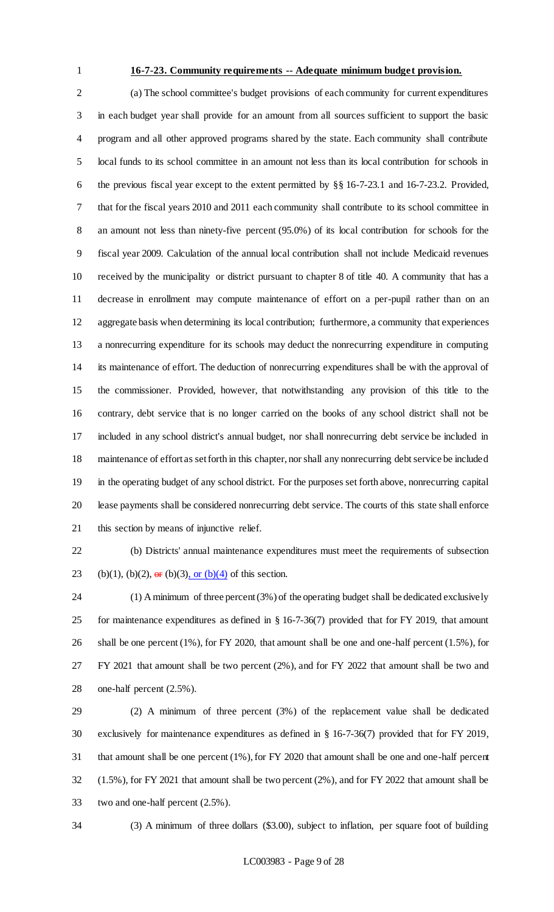## **16-7-23. Community requirements -- Adequate minimum budget provision.**

 (a) The school committee's budget provisions of each community for current expenditures in each budget year shall provide for an amount from all sources sufficient to support the basic program and all other approved programs shared by the state. Each community shall contribute local funds to its school committee in an amount not less than its local contribution for schools in the previous fiscal year except to the extent permitted by §§ 16-7-23.1 and 16-7-23.2. Provided, that for the fiscal years 2010 and 2011 each community shall contribute to its school committee in an amount not less than ninety-five percent (95.0%) of its local contribution for schools for the fiscal year 2009. Calculation of the annual local contribution shall not include Medicaid revenues received by the municipality or district pursuant to chapter 8 of title 40. A community that has a decrease in enrollment may compute maintenance of effort on a per-pupil rather than on an aggregate basis when determining its local contribution; furthermore, a community that experiences a nonrecurring expenditure for its schools may deduct the nonrecurring expenditure in computing its maintenance of effort. The deduction of nonrecurring expenditures shall be with the approval of the commissioner. Provided, however, that notwithstanding any provision of this title to the contrary, debt service that is no longer carried on the books of any school district shall not be included in any school district's annual budget, nor shall nonrecurring debt service be included in maintenance of effort as set forth in this chapter, nor shall any nonrecurring debt service be included in the operating budget of any school district. For the purposes set forth above, nonrecurring capital lease payments shall be considered nonrecurring debt service. The courts of this state shall enforce this section by means of injunctive relief.

 (b) Districts' annual maintenance expenditures must meet the requirements of subsection 23 (b)(1), (b)(2),  $\Theta$ **F** (b)(3), or (b)(4) of this section.

 (1) A minimum of three percent (3%) of the operating budget shall be dedicated exclusively for maintenance expenditures as defined in § 16-7-36(7) provided that for FY 2019, that amount shall be one percent (1%), for FY 2020, that amount shall be one and one-half percent (1.5%), for FY 2021 that amount shall be two percent (2%), and for FY 2022 that amount shall be two and one-half percent (2.5%).

 (2) A minimum of three percent (3%) of the replacement value shall be dedicated exclusively for maintenance expenditures as defined in § 16-7-36(7) provided that for FY 2019, that amount shall be one percent (1%), for FY 2020 that amount shall be one and one-half percent (1.5%), for FY 2021 that amount shall be two percent (2%), and for FY 2022 that amount shall be two and one-half percent (2.5%).

(3) A minimum of three dollars (\$3.00), subject to inflation, per square foot of building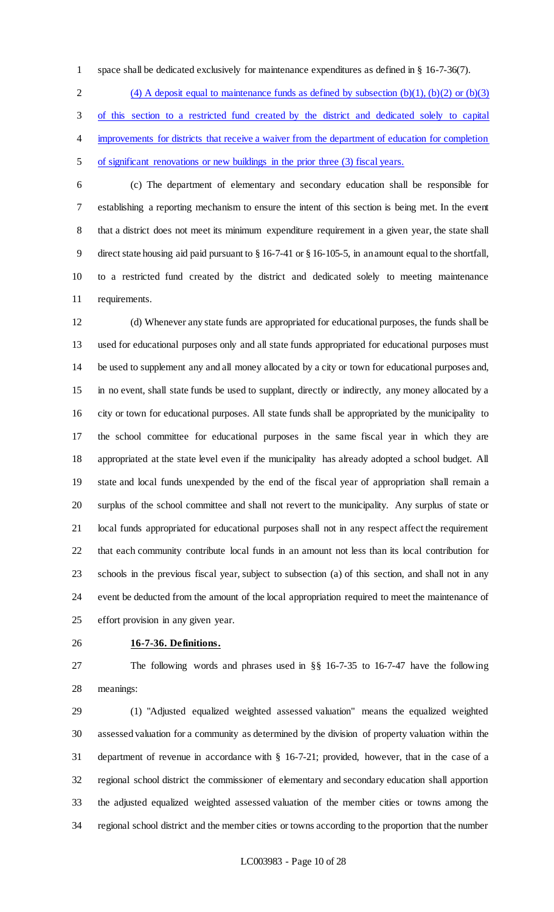space shall be dedicated exclusively for maintenance expenditures as defined in § 16-7-36(7).

2 (4) A deposit equal to maintenance funds as defined by subsection  $(b)(1)$ ,  $(b)(2)$  or  $(b)(3)$  of this section to a restricted fund created by the district and dedicated solely to capital 4 improvements for districts that receive a waiver from the department of education for completion of significant renovations or new buildings in the prior three (3) fiscal years.

 (c) The department of elementary and secondary education shall be responsible for establishing a reporting mechanism to ensure the intent of this section is being met. In the event that a district does not meet its minimum expenditure requirement in a given year, the state shall direct state housing aid paid pursuant to § 16-7-41 or § 16-105-5, in an amount equal to the shortfall, to a restricted fund created by the district and dedicated solely to meeting maintenance requirements.

 (d) Whenever any state funds are appropriated for educational purposes, the funds shall be used for educational purposes only and all state funds appropriated for educational purposes must be used to supplement any and all money allocated by a city or town for educational purposes and, in no event, shall state funds be used to supplant, directly or indirectly, any money allocated by a city or town for educational purposes. All state funds shall be appropriated by the municipality to the school committee for educational purposes in the same fiscal year in which they are appropriated at the state level even if the municipality has already adopted a school budget. All state and local funds unexpended by the end of the fiscal year of appropriation shall remain a surplus of the school committee and shall not revert to the municipality. Any surplus of state or local funds appropriated for educational purposes shall not in any respect affect the requirement that each community contribute local funds in an amount not less than its local contribution for schools in the previous fiscal year, subject to subsection (a) of this section, and shall not in any event be deducted from the amount of the local appropriation required to meet the maintenance of effort provision in any given year.

## **16-7-36. Definitions.**

 The following words and phrases used in §§ 16-7-35 to 16-7-47 have the following meanings:

 (1) "Adjusted equalized weighted assessed valuation" means the equalized weighted assessed valuation for a community as determined by the division of property valuation within the department of revenue in accordance with § 16-7-21; provided, however, that in the case of a regional school district the commissioner of elementary and secondary education shall apportion the adjusted equalized weighted assessed valuation of the member cities or towns among the regional school district and the member cities or towns according to the proportion that the number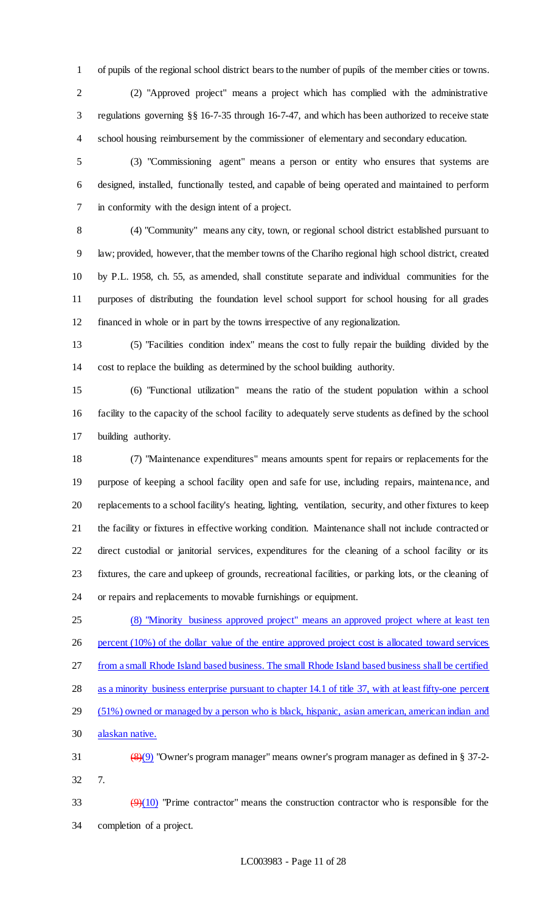of pupils of the regional school district bears to the number of pupils of the member cities or towns.

 (2) "Approved project" means a project which has complied with the administrative regulations governing §§ 16-7-35 through 16-7-47, and which has been authorized to receive state school housing reimbursement by the commissioner of elementary and secondary education.

 (3) "Commissioning agent" means a person or entity who ensures that systems are designed, installed, functionally tested, and capable of being operated and maintained to perform in conformity with the design intent of a project.

 (4) "Community" means any city, town, or regional school district established pursuant to law; provided, however, that the member towns of the Chariho regional high school district, created by P.L. 1958, ch. 55, as amended, shall constitute separate and individual communities for the purposes of distributing the foundation level school support for school housing for all grades financed in whole or in part by the towns irrespective of any regionalization.

 (5) "Facilities condition index" means the cost to fully repair the building divided by the cost to replace the building as determined by the school building authority.

 (6) "Functional utilization" means the ratio of the student population within a school facility to the capacity of the school facility to adequately serve students as defined by the school building authority.

 (7) "Maintenance expenditures" means amounts spent for repairs or replacements for the purpose of keeping a school facility open and safe for use, including repairs, maintenance, and replacements to a school facility's heating, lighting, ventilation, security, and other fixtures to keep the facility or fixtures in effective working condition. Maintenance shall not include contracted or direct custodial or janitorial services, expenditures for the cleaning of a school facility or its fixtures, the care and upkeep of grounds, recreational facilities, or parking lots, or the cleaning of or repairs and replacements to movable furnishings or equipment.

 (8) "Minority business approved project" means an approved project where at least ten 26 percent (10%) of the dollar value of the entire approved project cost is allocated toward services from a small Rhode Island based business. The small Rhode Island based business shall be certified as a minority business enterprise pursuant to chapter 14.1 of title 37, with at least fifty-one percent (51%) owned or managed by a person who is black, hispanic, asian american, american indian and alaskan native.  $(8)(9)$  "Owner's program manager" means owner's program manager as defined in § 37-2-7.

 $\left(\frac{9}{10}\right)$  "Prime contractor" means the construction contractor who is responsible for the completion of a project.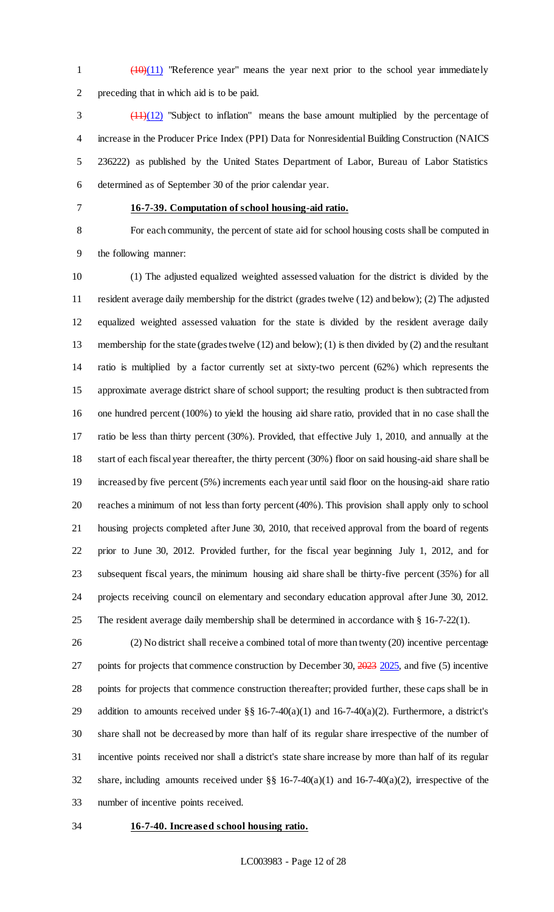$\left(\frac{10}{11}\right)$  "Reference year" means the year next prior to the school year immediately preceding that in which aid is to be paid.

 $\frac{(11)(12)}{2}$  "Subject to inflation" means the base amount multiplied by the percentage of increase in the Producer Price Index (PPI) Data for Nonresidential Building Construction (NAICS 236222) as published by the United States Department of Labor, Bureau of Labor Statistics determined as of September 30 of the prior calendar year.

## **16-7-39. Computation of school housing-aid ratio.**

 For each community, the percent of state aid for school housing costs shall be computed in the following manner:

 (1) The adjusted equalized weighted assessed valuation for the district is divided by the resident average daily membership for the district (grades twelve (12) and below); (2) The adjusted equalized weighted assessed valuation for the state is divided by the resident average daily membership for the state (grades twelve (12) and below); (1) is then divided by (2) and the resultant ratio is multiplied by a factor currently set at sixty-two percent (62%) which represents the approximate average district share of school support; the resulting product is then subtracted from one hundred percent (100%) to yield the housing aid share ratio, provided that in no case shall the ratio be less than thirty percent (30%). Provided, that effective July 1, 2010, and annually at the start of each fiscal year thereafter, the thirty percent (30%) floor on said housing-aid share shall be increased by five percent (5%) increments each year until said floor on the housing-aid share ratio reaches a minimum of not less than forty percent (40%). This provision shall apply only to school housing projects completed after June 30, 2010, that received approval from the board of regents prior to June 30, 2012. Provided further, for the fiscal year beginning July 1, 2012, and for subsequent fiscal years, the minimum housing aid share shall be thirty-five percent (35%) for all projects receiving council on elementary and secondary education approval after June 30, 2012. The resident average daily membership shall be determined in accordance with § 16-7-22(1).

 (2) No district shall receive a combined total of more than twenty (20) incentive percentage 27 points for projects that commence construction by December 30, 2023 2025, and five (5) incentive points for projects that commence construction thereafter; provided further, these caps shall be in 29 addition to amounts received under  $\S$ § 16-7-40(a)(1) and 16-7-40(a)(2). Furthermore, a district's share shall not be decreased by more than half of its regular share irrespective of the number of incentive points received nor shall a district's state share increase by more than half of its regular share, including amounts received under §§ 16-7-40(a)(1) and 16-7-40(a)(2), irrespective of the number of incentive points received.

## **16-7-40. Increased school housing ratio.**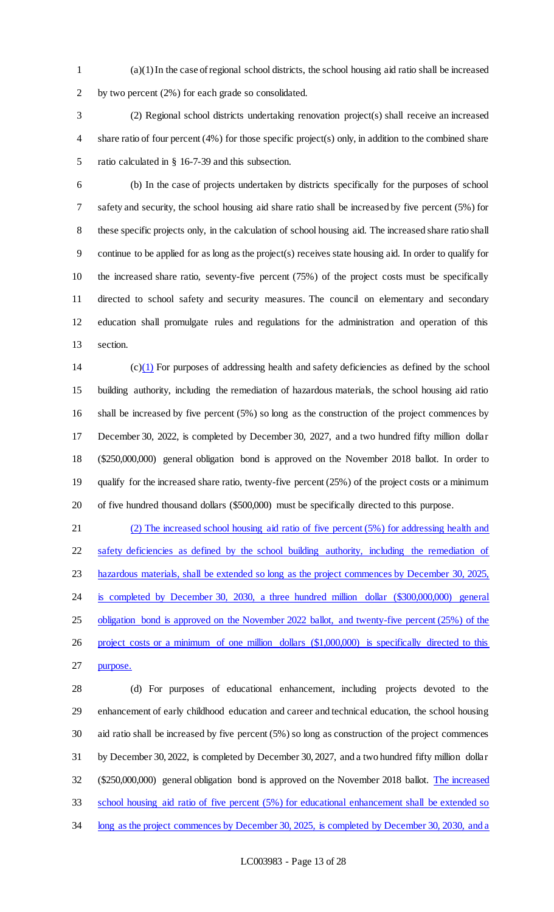(a)(1) In the case of regional school districts, the school housing aid ratio shall be increased by two percent (2%) for each grade so consolidated.

 (2) Regional school districts undertaking renovation project(s) shall receive an increased share ratio of four percent (4%) for those specific project(s) only, in addition to the combined share ratio calculated in § 16-7-39 and this subsection.

 (b) In the case of projects undertaken by districts specifically for the purposes of school safety and security, the school housing aid share ratio shall be increased by five percent (5%) for these specific projects only, in the calculation of school housing aid. The increased share ratio shall continue to be applied for as long as the project(s) receives state housing aid. In order to qualify for the increased share ratio, seventy-five percent (75%) of the project costs must be specifically directed to school safety and security measures. The council on elementary and secondary education shall promulgate rules and regulations for the administration and operation of this section.

 (c)(1) For purposes of addressing health and safety deficiencies as defined by the school building authority, including the remediation of hazardous materials, the school housing aid ratio shall be increased by five percent (5%) so long as the construction of the project commences by December 30, 2022, is completed by December 30, 2027, and a two hundred fifty million dollar (\$250,000,000) general obligation bond is approved on the November 2018 ballot. In order to qualify for the increased share ratio, twenty-five percent (25%) of the project costs or a minimum of five hundred thousand dollars (\$500,000) must be specifically directed to this purpose.

 (2) The increased school housing aid ratio of five percent (5%) for addressing health and safety deficiencies as defined by the school building authority, including the remediation of hazardous materials, shall be extended so long as the project commences by December 30, 2025, is completed by December 30, 2030, a three hundred million dollar (\$300,000,000) general 25 obligation bond is approved on the November 2022 ballot, and twenty-five percent (25%) of the project costs or a minimum of one million dollars (\$1,000,000) is specifically directed to this purpose.

 (d) For purposes of educational enhancement, including projects devoted to the enhancement of early childhood education and career and technical education, the school housing aid ratio shall be increased by five percent (5%) so long as construction of the project commences by December 30, 2022, is completed by December 30, 2027, and a two hundred fifty million dollar (\$250,000,000) general obligation bond is approved on the November 2018 ballot. The increased school housing aid ratio of five percent (5%) for educational enhancement shall be extended so 34 long as the project commences by December 30, 2025, is completed by December 30, 2030, and a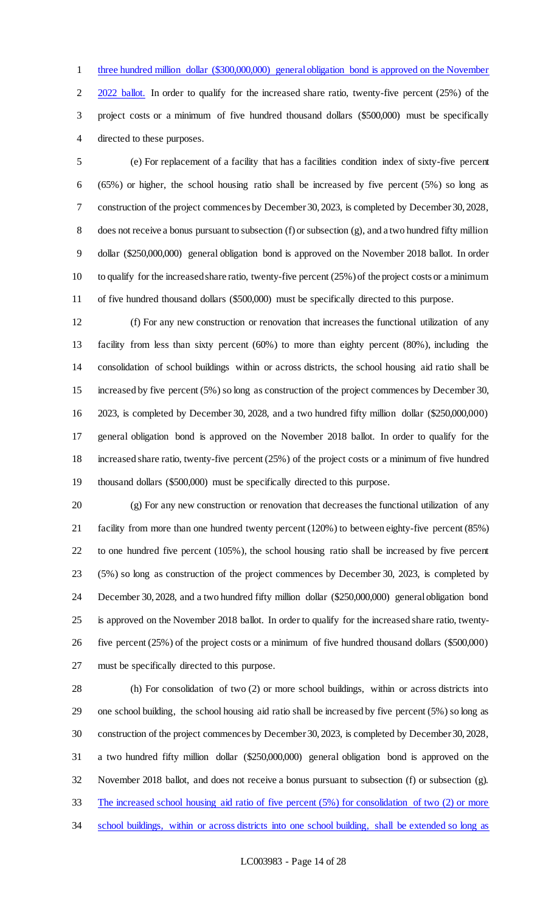1 three hundred million dollar (\$300,000,000) general obligation bond is approved on the November 2 2022 ballot. In order to qualify for the increased share ratio, twenty-five percent (25%) of the project costs or a minimum of five hundred thousand dollars (\$500,000) must be specifically directed to these purposes.

 (e) For replacement of a facility that has a facilities condition index of sixty-five percent (65%) or higher, the school housing ratio shall be increased by five percent (5%) so long as construction of the project commences by December 30, 2023, is completed by December 30, 2028, does not receive a bonus pursuant to subsection (f) or subsection (g), and a two hundred fifty million dollar (\$250,000,000) general obligation bond is approved on the November 2018 ballot. In order to qualify for the increased share ratio, twenty-five percent (25%) of the project costs or a minimum of five hundred thousand dollars (\$500,000) must be specifically directed to this purpose.

 (f) For any new construction or renovation that increases the functional utilization of any facility from less than sixty percent (60%) to more than eighty percent (80%), including the consolidation of school buildings within or across districts, the school housing aid ratio shall be increased by five percent (5%) so long as construction of the project commences by December 30, 2023, is completed by December 30, 2028, and a two hundred fifty million dollar (\$250,000,000) general obligation bond is approved on the November 2018 ballot. In order to qualify for the increased share ratio, twenty-five percent (25%) of the project costs or a minimum of five hundred thousand dollars (\$500,000) must be specifically directed to this purpose.

 (g) For any new construction or renovation that decreases the functional utilization of any facility from more than one hundred twenty percent (120%) to between eighty-five percent (85%) to one hundred five percent (105%), the school housing ratio shall be increased by five percent (5%) so long as construction of the project commences by December 30, 2023, is completed by December 30, 2028, and a two hundred fifty million dollar (\$250,000,000) general obligation bond is approved on the November 2018 ballot. In order to qualify for the increased share ratio, twenty- five percent (25%) of the project costs or a minimum of five hundred thousand dollars (\$500,000) must be specifically directed to this purpose.

 (h) For consolidation of two (2) or more school buildings, within or across districts into one school building, the school housing aid ratio shall be increased by five percent (5%) so long as construction of the project commences by December 30, 2023, is completed by December 30, 2028, a two hundred fifty million dollar (\$250,000,000) general obligation bond is approved on the November 2018 ballot, and does not receive a bonus pursuant to subsection (f) or subsection (g). The increased school housing aid ratio of five percent (5%) for consolidation of two (2) or more school buildings, within or across districts into one school building, shall be extended so long as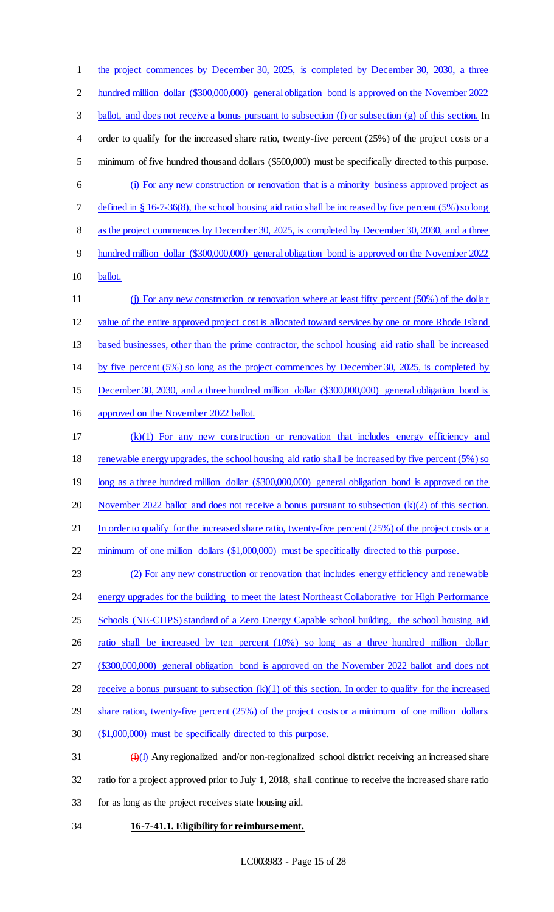the project commences by December 30, 2025, is completed by December 30, 2030, a three 2 hundred million dollar (\$300,000,000) general obligation bond is approved on the November 2022 ballot, and does not receive a bonus pursuant to subsection (f) or subsection (g) of this section. In order to qualify for the increased share ratio, twenty-five percent (25%) of the project costs or a minimum of five hundred thousand dollars (\$500,000) must be specifically directed to this purpose. (i) For any new construction or renovation that is a minority business approved project as defined in § 16-7-36(8), the school housing aid ratio shall be increased by five percent (5%) so long 8 as the project commences by December 30, 2025, is completed by December 30, 2030, and a three hundred million dollar (\$300,000,000) general obligation bond is approved on the November 2022 ballot. (j) For any new construction or renovation where at least fifty percent (50%) of the dollar value of the entire approved project cost is allocated toward services by one or more Rhode Island based businesses, other than the prime contractor, the school housing aid ratio shall be increased by five percent (5%) so long as the project commences by December 30, 2025, is completed by December 30, 2030, and a three hundred million dollar (\$300,000,000) general obligation bond is approved on the November 2022 ballot. (k)(1) For any new construction or renovation that includes energy efficiency and renewable energy upgrades, the school housing aid ratio shall be increased by five percent (5%) so long as a three hundred million dollar (\$300,000,000) general obligation bond is approved on the November 2022 ballot and does not receive a bonus pursuant to subsection (k)(2) of this section. 21 In order to qualify for the increased share ratio, twenty-five percent (25%) of the project costs or a 22 minimum of one million dollars (\$1,000,000) must be specifically directed to this purpose. (2) For any new construction or renovation that includes energy efficiency and renewable 24 energy upgrades for the building to meet the latest Northeast Collaborative for High Performance 25 Schools (NE-CHPS) standard of a Zero Energy Capable school building, the school housing aid 26 ratio shall be increased by ten percent (10%) so long as a three hundred million dollar (\$300,000,000) general obligation bond is approved on the November 2022 ballot and does not 28 receive a bonus pursuant to subsection  $(k)(1)$  of this section. In order to qualify for the increased 29 share ration, twenty-five percent (25%) of the project costs or a minimum of one million dollars (\$1,000,000) must be specifically directed to this purpose.  $\frac{1}{2}$  (i)(l) Any regionalized and/or non-regionalized school district receiving an increased share ratio for a project approved prior to July 1, 2018, shall continue to receive the increased share ratio for as long as the project receives state housing aid.

**16-7-41.1. Eligibility for reimbursement.**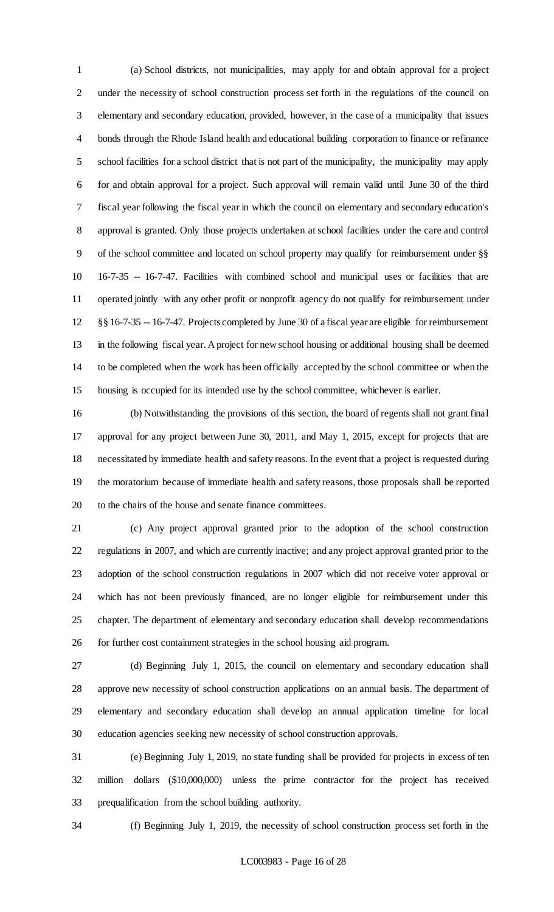(a) School districts, not municipalities, may apply for and obtain approval for a project under the necessity of school construction process set forth in the regulations of the council on elementary and secondary education, provided, however, in the case of a municipality that issues bonds through the Rhode Island health and educational building corporation to finance or refinance school facilities for a school district that is not part of the municipality, the municipality may apply for and obtain approval for a project. Such approval will remain valid until June 30 of the third fiscal year following the fiscal year in which the council on elementary and secondary education's approval is granted. Only those projects undertaken at school facilities under the care and control of the school committee and located on school property may qualify for reimbursement under §§ 16-7-35 -- 16-7-47. Facilities with combined school and municipal uses or facilities that are operated jointly with any other profit or nonprofit agency do not qualify for reimbursement under §§ 16-7-35 -- 16-7-47. Projects completed by June 30 of a fiscal year are eligible for reimbursement in the following fiscal year. A project for new school housing or additional housing shall be deemed to be completed when the work has been officially accepted by the school committee or when the housing is occupied for its intended use by the school committee, whichever is earlier.

 (b) Notwithstanding the provisions of this section, the board of regents shall not grant final approval for any project between June 30, 2011, and May 1, 2015, except for projects that are necessitated by immediate health and safety reasons. In the event that a project is requested during the moratorium because of immediate health and safety reasons, those proposals shall be reported to the chairs of the house and senate finance committees.

 (c) Any project approval granted prior to the adoption of the school construction regulations in 2007, and which are currently inactive; and any project approval granted prior to the adoption of the school construction regulations in 2007 which did not receive voter approval or which has not been previously financed, are no longer eligible for reimbursement under this chapter. The department of elementary and secondary education shall develop recommendations for further cost containment strategies in the school housing aid program.

 (d) Beginning July 1, 2015, the council on elementary and secondary education shall approve new necessity of school construction applications on an annual basis. The department of elementary and secondary education shall develop an annual application timeline for local education agencies seeking new necessity of school construction approvals.

 (e) Beginning July 1, 2019, no state funding shall be provided for projects in excess of ten million dollars (\$10,000,000) unless the prime contractor for the project has received prequalification from the school building authority.

(f) Beginning July 1, 2019, the necessity of school construction process set forth in the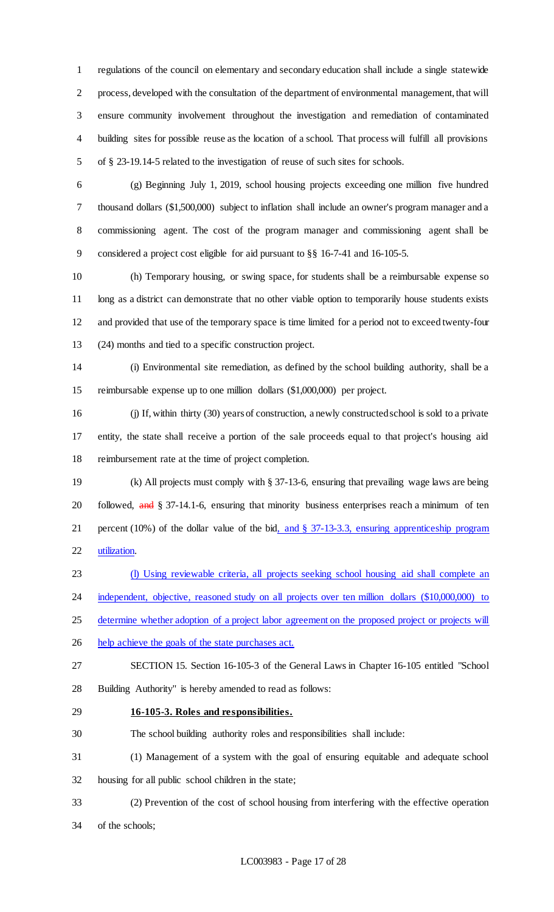regulations of the council on elementary and secondary education shall include a single statewide process, developed with the consultation of the department of environmental management, that will ensure community involvement throughout the investigation and remediation of contaminated building sites for possible reuse as the location of a school. That process will fulfill all provisions of § 23-19.14-5 related to the investigation of reuse of such sites for schools.

 (g) Beginning July 1, 2019, school housing projects exceeding one million five hundred thousand dollars (\$1,500,000) subject to inflation shall include an owner's program manager and a commissioning agent. The cost of the program manager and commissioning agent shall be considered a project cost eligible for aid pursuant to §§ 16-7-41 and 16-105-5.

 (h) Temporary housing, or swing space, for students shall be a reimbursable expense so 11 long as a district can demonstrate that no other viable option to temporarily house students exists and provided that use of the temporary space is time limited for a period not to exceed twenty-four (24) months and tied to a specific construction project.

 (i) Environmental site remediation, as defined by the school building authority, shall be a reimbursable expense up to one million dollars (\$1,000,000) per project.

 (j) If, within thirty (30) years of construction, a newly constructed school is sold to a private entity, the state shall receive a portion of the sale proceeds equal to that project's housing aid reimbursement rate at the time of project completion.

 (k) All projects must comply with § 37-13-6, ensuring that prevailing wage laws are being 20 followed, and § 37-14.1-6, ensuring that minority business enterprises reach a minimum of ten 21 percent (10%) of the dollar value of the bid, and § 37-13-3.3, ensuring apprenticeship program utilization.

(l) Using reviewable criteria, all projects seeking school housing aid shall complete an

24 independent, objective, reasoned study on all projects over ten million dollars (\$10,000,000) to

25 determine whether adoption of a project labor agreement on the proposed project or projects will

26 help achieve the goals of the state purchases act.

 SECTION 15. Section 16-105-3 of the General Laws in Chapter 16-105 entitled "School Building Authority" is hereby amended to read as follows:

- **16-105-3. Roles and responsibilities.**
- The school building authority roles and responsibilities shall include:

 (1) Management of a system with the goal of ensuring equitable and adequate school housing for all public school children in the state;

 (2) Prevention of the cost of school housing from interfering with the effective operation of the schools;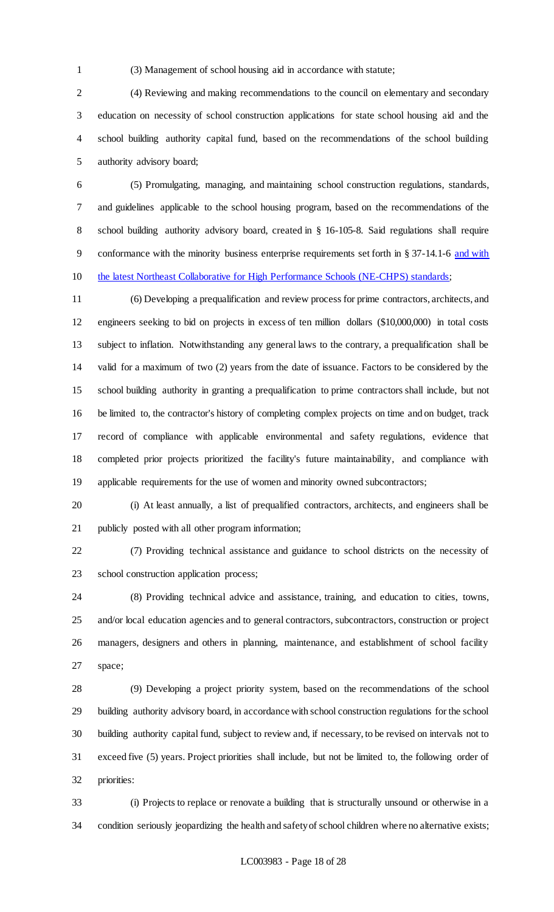(3) Management of school housing aid in accordance with statute;

 (4) Reviewing and making recommendations to the council on elementary and secondary education on necessity of school construction applications for state school housing aid and the school building authority capital fund, based on the recommendations of the school building authority advisory board;

 (5) Promulgating, managing, and maintaining school construction regulations, standards, and guidelines applicable to the school housing program, based on the recommendations of the school building authority advisory board, created in § 16-105-8. Said regulations shall require conformance with the minority business enterprise requirements set forth in § 37-14.1-6 and with the latest Northeast Collaborative for High Performance Schools (NE-CHPS) standards;

 (6) Developing a prequalification and review process for prime contractors, architects, and engineers seeking to bid on projects in excess of ten million dollars (\$10,000,000) in total costs subject to inflation. Notwithstanding any general laws to the contrary, a prequalification shall be valid for a maximum of two (2) years from the date of issuance. Factors to be considered by the school building authority in granting a prequalification to prime contractors shall include, but not be limited to, the contractor's history of completing complex projects on time and on budget, track record of compliance with applicable environmental and safety regulations, evidence that completed prior projects prioritized the facility's future maintainability, and compliance with applicable requirements for the use of women and minority owned subcontractors;

 (i) At least annually, a list of prequalified contractors, architects, and engineers shall be publicly posted with all other program information;

 (7) Providing technical assistance and guidance to school districts on the necessity of school construction application process;

 (8) Providing technical advice and assistance, training, and education to cities, towns, and/or local education agencies and to general contractors, subcontractors, construction or project managers, designers and others in planning, maintenance, and establishment of school facility space;

 (9) Developing a project priority system, based on the recommendations of the school building authority advisory board, in accordance with school construction regulations for the school building authority capital fund, subject to review and, if necessary, to be revised on intervals not to exceed five (5) years. Project priorities shall include, but not be limited to, the following order of priorities:

 (i) Projects to replace or renovate a building that is structurally unsound or otherwise in a condition seriously jeopardizing the health and safety of school children where no alternative exists;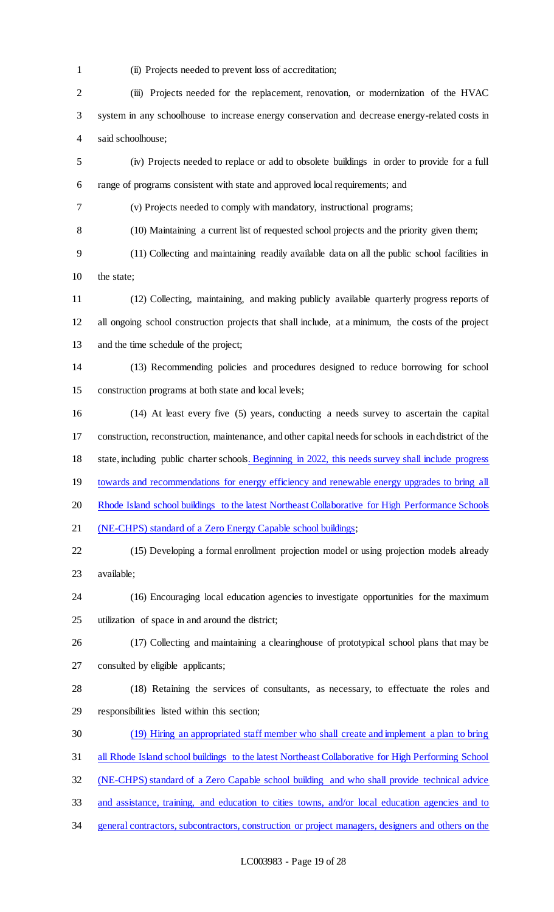- (ii) Projects needed to prevent loss of accreditation;
- (iii) Projects needed for the replacement, renovation, or modernization of the HVAC system in any schoolhouse to increase energy conservation and decrease energy-related costs in said schoolhouse;
- (iv) Projects needed to replace or add to obsolete buildings in order to provide for a full range of programs consistent with state and approved local requirements; and
- (v) Projects needed to comply with mandatory, instructional programs;
- (10) Maintaining a current list of requested school projects and the priority given them;
- (11) Collecting and maintaining readily available data on all the public school facilities in the state;
- (12) Collecting, maintaining, and making publicly available quarterly progress reports of all ongoing school construction projects that shall include, at a minimum, the costs of the project and the time schedule of the project;
- (13) Recommending policies and procedures designed to reduce borrowing for school construction programs at both state and local levels;
- (14) At least every five (5) years, conducting a needs survey to ascertain the capital construction, reconstruction, maintenance, and other capital needs for schools in each district of the state, including public charter schools. Beginning in 2022, this needs survey shall include progress 19 towards and recommendations for energy efficiency and renewable energy upgrades to bring all 20 Rhode Island school buildings to the latest Northeast Collaborative for High Performance Schools
- 21 (NE-CHPS) standard of a Zero Energy Capable school buildings;
- (15) Developing a formal enrollment projection model or using projection models already available;
- (16) Encouraging local education agencies to investigate opportunities for the maximum utilization of space in and around the district;
- (17) Collecting and maintaining a clearinghouse of prototypical school plans that may be consulted by eligible applicants;
- (18) Retaining the services of consultants, as necessary, to effectuate the roles and responsibilities listed within this section;
- (19) Hiring an appropriated staff member who shall create and implement a plan to bring
- all Rhode Island school buildings to the latest Northeast Collaborative for High Performing School
- (NE-CHPS) standard of a Zero Capable school building and who shall provide technical advice
- and assistance, training, and education to cities towns, and/or local education agencies and to
- general contractors, subcontractors, construction or project managers, designers and others on the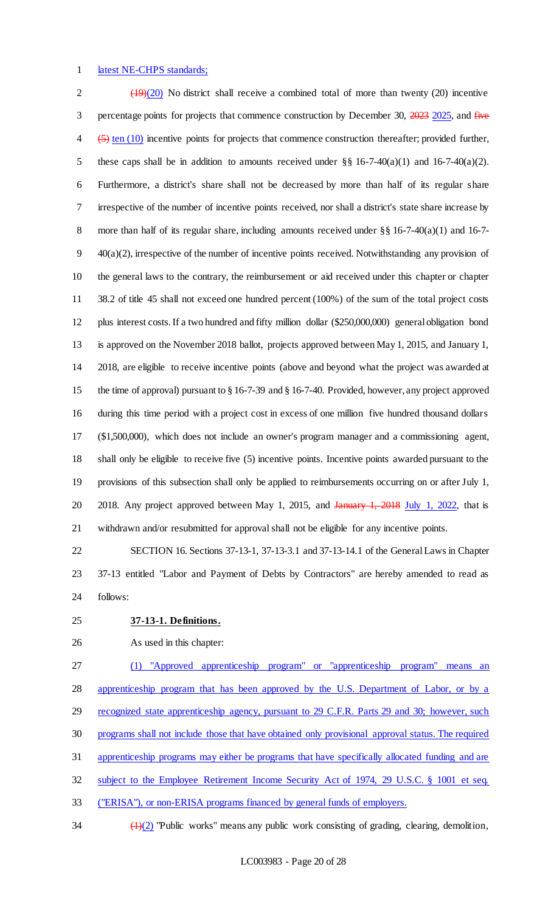## 1 latest NE-CHPS standards;

 $2 \left( \frac{19}{20} \right)$  No district shall receive a combined total of more than twenty (20) incentive 3 percentage points for projects that commence construction by December 30, 2023 2025, and five (5) ten (10) incentive points for projects that commence construction thereafter; provided further, 5 these caps shall be in addition to amounts received under  $\S\S 16-7-40(a)(1)$  and  $16-7-40(a)(2)$ . Furthermore, a district's share shall not be decreased by more than half of its regular share irrespective of the number of incentive points received, nor shall a district's state share increase by 8 more than half of its regular share, including amounts received under §§ 16-7-40(a)(1) and 16-7- 40(a)(2), irrespective of the number of incentive points received. Notwithstanding any provision of the general laws to the contrary, the reimbursement or aid received under this chapter or chapter 38.2 of title 45 shall not exceed one hundred percent (100%) of the sum of the total project costs plus interest costs. If a two hundred and fifty million dollar (\$250,000,000) general obligation bond is approved on the November 2018 ballot, projects approved between May 1, 2015, and January 1, 2018, are eligible to receive incentive points (above and beyond what the project was awarded at the time of approval) pursuant to § 16-7-39 and § 16-7-40. Provided, however, any project approved during this time period with a project cost in excess of one million five hundred thousand dollars (\$1,500,000), which does not include an owner's program manager and a commissioning agent, shall only be eligible to receive five (5) incentive points. Incentive points awarded pursuant to the provisions of this subsection shall only be applied to reimbursements occurring on or after July 1, 20 2018. Any project approved between May 1, 2015, and January 1, 2018 July 1, 2022, that is withdrawn and/or resubmitted for approval shall not be eligible for any incentive points.

 SECTION 16. Sections 37-13-1, 37-13-3.1 and 37-13-14.1 of the GeneralLaws in Chapter 37-13 entitled "Labor and Payment of Debts by Contractors" are hereby amended to read as follows:

## **37-13-1. Definitions.**

#### As used in this chapter:

 (1) "Approved apprenticeship program" or "apprenticeship program" means an apprenticeship program that has been approved by the U.S. Department of Labor, or by a 29 recognized state apprenticeship agency, pursuant to 29 C.F.R. Parts 29 and 30; however, such programs shall not include those that have obtained only provisional approval status. The required apprenticeship programs may either be programs that have specifically allocated funding and are subject to the Employee Retirement Income Security Act of 1974, 29 U.S.C. § 1001 et seq.

- ("ERISA"), or non-ERISA programs financed by general funds of employers.
- $\frac{(1)(2)}{2}$  "Public works" means any public work consisting of grading, clearing, demolition,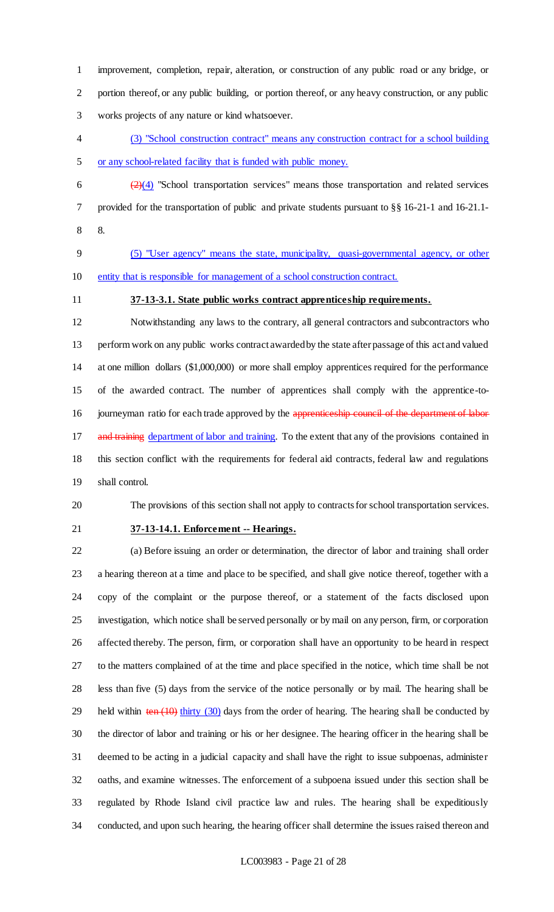improvement, completion, repair, alteration, or construction of any public road or any bridge, or portion thereof, or any public building, or portion thereof, or any heavy construction, or any public works projects of any nature or kind whatsoever.

 (3) "School construction contract" means any construction contract for a school building or any school-related facility that is funded with public money.

6  $\left( \frac{2}{2}(4)$  "School transportation services" means those transportation and related services provided for the transportation of public and private students pursuant to §§ 16-21-1 and 16-21.1- 8.

 (5) "User agency" means the state, municipality, quasi-governmental agency, or other entity that is responsible for management of a school construction contract.

## **37-13-3.1. State public works contract apprenticeship requirements.**

 Notwithstanding any laws to the contrary, all general contractors and subcontractors who perform work on any public works contract awarded by the state after passage of this act and valued at one million dollars (\$1,000,000) or more shall employ apprentices required for the performance of the awarded contract. The number of apprentices shall comply with the apprentice-to-16 journeyman ratio for each trade approved by the apprenticeship council of the department of labor-17 and training department of labor and training. To the extent that any of the provisions contained in this section conflict with the requirements for federal aid contracts, federal law and regulations shall control.

The provisions of this section shall not apply to contracts for school transportation services.

## **37-13-14.1. Enforcement -- Hearings.**

 (a) Before issuing an order or determination, the director of labor and training shall order a hearing thereon at a time and place to be specified, and shall give notice thereof, together with a copy of the complaint or the purpose thereof, or a statement of the facts disclosed upon investigation, which notice shall be served personally or by mail on any person, firm, or corporation affected thereby. The person, firm, or corporation shall have an opportunity to be heard in respect to the matters complained of at the time and place specified in the notice, which time shall be not less than five (5) days from the service of the notice personally or by mail. The hearing shall be 29 held within ten (10) thirty (30) days from the order of hearing. The hearing shall be conducted by the director of labor and training or his or her designee. The hearing officer in the hearing shall be deemed to be acting in a judicial capacity and shall have the right to issue subpoenas, administer oaths, and examine witnesses. The enforcement of a subpoena issued under this section shall be regulated by Rhode Island civil practice law and rules. The hearing shall be expeditiously conducted, and upon such hearing, the hearing officer shall determine the issues raised thereon and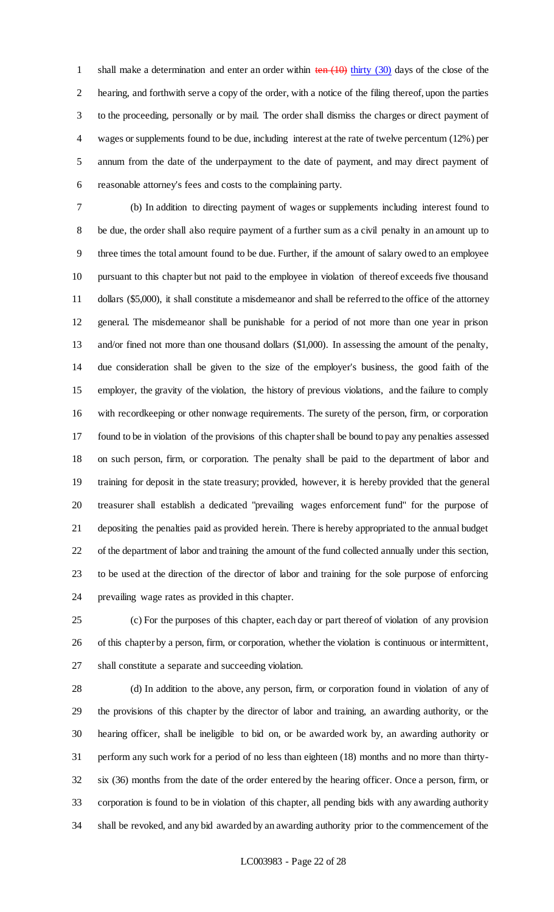1 shall make a determination and enter an order within  $\frac{\tan(10)}{\tan(10)}$  thirty (30) days of the close of the hearing, and forthwith serve a copy of the order, with a notice of the filing thereof, upon the parties to the proceeding, personally or by mail. The order shall dismiss the charges or direct payment of wages or supplements found to be due, including interest at the rate of twelve percentum (12%) per annum from the date of the underpayment to the date of payment, and may direct payment of reasonable attorney's fees and costs to the complaining party.

 (b) In addition to directing payment of wages or supplements including interest found to be due, the order shall also require payment of a further sum as a civil penalty in an amount up to three times the total amount found to be due. Further, if the amount of salary owed to an employee pursuant to this chapter but not paid to the employee in violation of thereof exceeds five thousand dollars (\$5,000), it shall constitute a misdemeanor and shall be referred to the office of the attorney general. The misdemeanor shall be punishable for a period of not more than one year in prison and/or fined not more than one thousand dollars (\$1,000). In assessing the amount of the penalty, due consideration shall be given to the size of the employer's business, the good faith of the employer, the gravity of the violation, the history of previous violations, and the failure to comply with recordkeeping or other nonwage requirements. The surety of the person, firm, or corporation found to be in violation of the provisions of this chapter shall be bound to pay any penalties assessed on such person, firm, or corporation. The penalty shall be paid to the department of labor and training for deposit in the state treasury; provided, however, it is hereby provided that the general treasurer shall establish a dedicated "prevailing wages enforcement fund" for the purpose of depositing the penalties paid as provided herein. There is hereby appropriated to the annual budget of the department of labor and training the amount of the fund collected annually under this section, to be used at the direction of the director of labor and training for the sole purpose of enforcing prevailing wage rates as provided in this chapter.

 (c) For the purposes of this chapter, each day or part thereof of violation of any provision of this chapter by a person, firm, or corporation, whether the violation is continuous or intermittent, shall constitute a separate and succeeding violation.

 (d) In addition to the above, any person, firm, or corporation found in violation of any of the provisions of this chapter by the director of labor and training, an awarding authority, or the hearing officer, shall be ineligible to bid on, or be awarded work by, an awarding authority or perform any such work for a period of no less than eighteen (18) months and no more than thirty- six (36) months from the date of the order entered by the hearing officer. Once a person, firm, or corporation is found to be in violation of this chapter, all pending bids with any awarding authority shall be revoked, and any bid awarded by an awarding authority prior to the commencement of the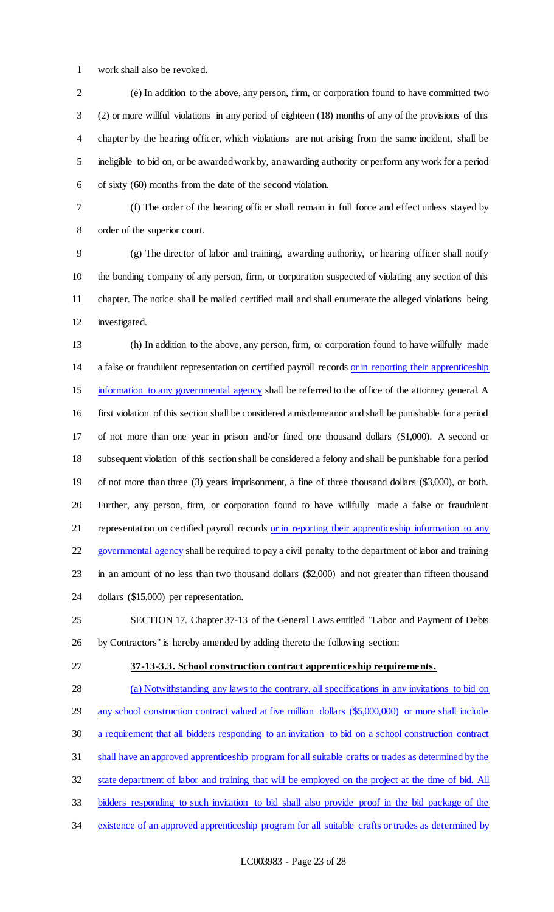work shall also be revoked.

 (e) In addition to the above, any person, firm, or corporation found to have committed two (2) or more willful violations in any period of eighteen (18) months of any of the provisions of this chapter by the hearing officer, which violations are not arising from the same incident, shall be ineligible to bid on, or be awarded work by, an awarding authority or perform any work for a period of sixty (60) months from the date of the second violation.

 (f) The order of the hearing officer shall remain in full force and effect unless stayed by order of the superior court.

 (g) The director of labor and training, awarding authority, or hearing officer shall notify the bonding company of any person, firm, or corporation suspected of violating any section of this chapter. The notice shall be mailed certified mail and shall enumerate the alleged violations being investigated.

 (h) In addition to the above, any person, firm, or corporation found to have willfully made a false or fraudulent representation on certified payroll records or in reporting their apprenticeship information to any governmental agency shall be referred to the office of the attorney general. A first violation of this section shall be considered a misdemeanor and shall be punishable for a period of not more than one year in prison and/or fined one thousand dollars (\$1,000). A second or subsequent violation of this section shall be considered a felony and shall be punishable for a period of not more than three (3) years imprisonment, a fine of three thousand dollars (\$3,000), or both. Further, any person, firm, or corporation found to have willfully made a false or fraudulent 21 representation on certified payroll records or in reporting their apprenticeship information to any governmental agency shall be required to pay a civil penalty to the department of labor and training in an amount of no less than two thousand dollars (\$2,000) and not greater than fifteen thousand dollars (\$15,000) per representation.

 SECTION 17. Chapter 37-13 of the General Laws entitled "Labor and Payment of Debts by Contractors" is hereby amended by adding thereto the following section:

# **37-13-3.3. School construction contract apprenticeship requirements.**

 (a) Notwithstanding any laws to the contrary, all specifications in any invitations to bid on any school construction contract valued at five million dollars (\$5,000,000) or more shall include a requirement that all bidders responding to an invitation to bid on a school construction contract shall have an approved apprenticeship program for all suitable crafts or trades as determined by the 32 state department of labor and training that will be employed on the project at the time of bid. All bidders responding to such invitation to bid shall also provide proof in the bid package of the existence of an approved apprenticeship program for all suitable crafts or trades as determined by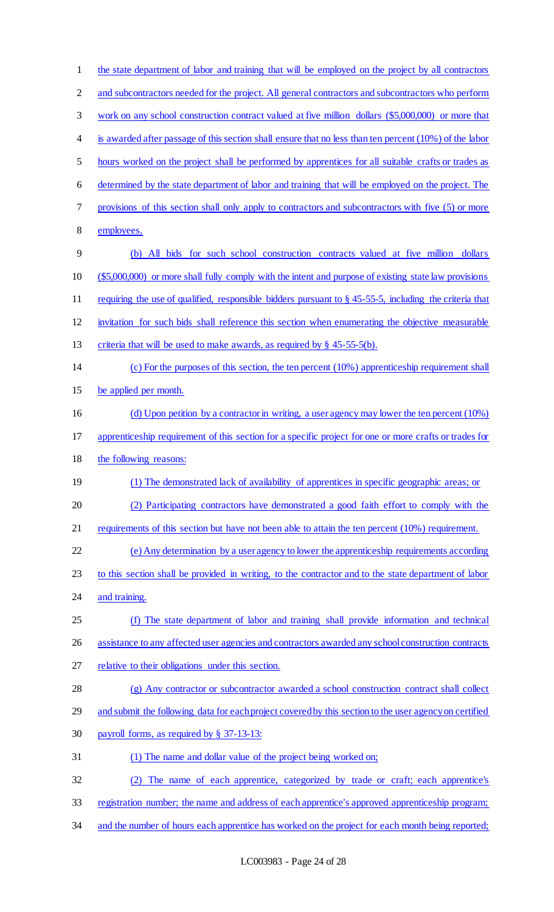| $\mathbf{1}$   | the state department of labor and training that will be employed on the project by all contractors        |
|----------------|-----------------------------------------------------------------------------------------------------------|
| $\overline{c}$ | and subcontractors needed for the project. All general contractors and subcontractors who perform         |
| 3              | work on any school construction contract valued at five million dollars (\$5,000,000) or more that        |
| 4              | is awarded after passage of this section shall ensure that no less than ten percent (10%) of the labor    |
| 5              | hours worked on the project shall be performed by apprentices for all suitable crafts or trades as        |
| 6              | determined by the state department of labor and training that will be employed on the project. The        |
| 7              | provisions of this section shall only apply to contractors and subcontractors with five (5) or more       |
| 8              | employees.                                                                                                |
| 9              | All bids for such school construction contracts valued at five million<br>dollars<br>(b)                  |
| 10             | (\$5,000,000) or more shall fully comply with the intent and purpose of existing state law provisions     |
| 11             | requiring the use of qualified, responsible bidders pursuant to $\S$ 45-55-5, including the criteria that |
| 12             | invitation for such bids shall reference this section when enumerating the objective measurable           |
| 13             | criteria that will be used to make awards, as required by $\S$ 45-55-5(b).                                |
| 14             | (c) For the purposes of this section, the ten percent (10%) apprenticeship requirement shall              |
| 15             | be applied per month.                                                                                     |
| 16             | (d) Upon petition by a contractor in writing, a user agency may lower the ten percent (10%)               |
| 17             | apprenticeship requirement of this section for a specific project for one or more crafts or trades for    |
| 18             | the following reasons:                                                                                    |
| 19             | (1) The demonstrated lack of availability of apprentices in specific geographic areas; or                 |
| 20             | (2) Participating contractors have demonstrated a good faith effort to comply with the                    |
| 21             | requirements of this section but have not been able to attain the ten percent $(10\%)$ requirement.       |
| 22             | (e) Any determination by a user agency to lower the apprenticeship requirements according                 |
| 23             | to this section shall be provided in writing, to the contractor and to the state department of labor      |
| 24             | and training.                                                                                             |
| 25             | (f) The state department of labor and training shall provide information and technical                    |
| 26             | assistance to any affected user agencies and contractors awarded any school construction contracts        |
| 27             | relative to their obligations under this section.                                                         |
| 28             | (g) Any contractor or subcontractor awarded a school construction contract shall collect                  |
| 29             | and submit the following data for each project covered by this section to the user agency on certified    |
| 30             | payroll forms, as required by § 37-13-13:                                                                 |
| 31             | (1) The name and dollar value of the project being worked on;                                             |
| 32             | The name of each apprentice, categorized by trade or craft; each apprentice's<br>(2)                      |
| 33             | registration number; the name and address of each apprentice's approved apprenticeship program;           |
|                |                                                                                                           |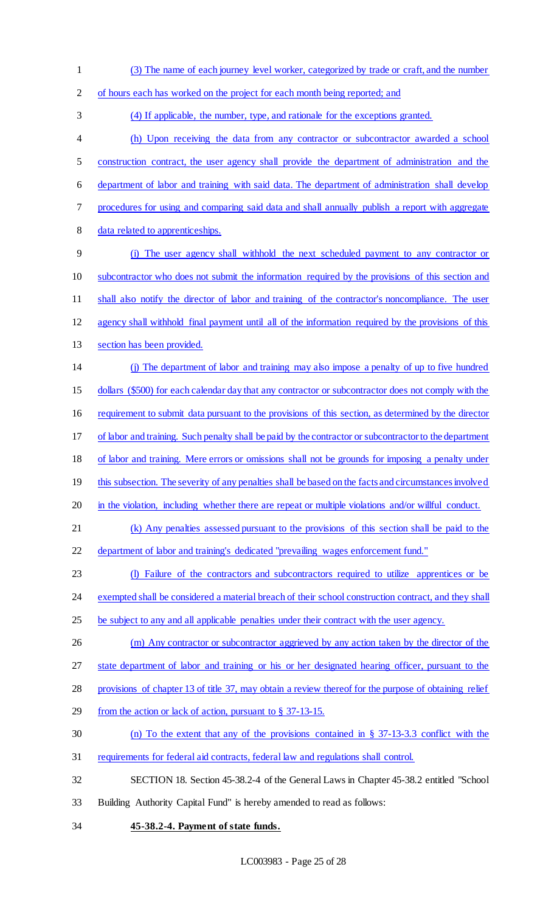(3) The name of each journey level worker, categorized by trade or craft, and the number

of hours each has worked on the project for each month being reported; and

(4) If applicable, the number, type, and rationale for the exceptions granted.

 (h) Upon receiving the data from any contractor or subcontractor awarded a school construction contract, the user agency shall provide the department of administration and the department of labor and training with said data. The department of administration shall develop procedures for using and comparing said data and shall annually publish a report with aggregate data related to apprenticeships.

 (i) The user agency shall withhold the next scheduled payment to any contractor or subcontractor who does not submit the information required by the provisions of this section and shall also notify the director of labor and training of the contractor's noncompliance. The user agency shall withhold final payment until all of the information required by the provisions of this section has been provided.

(j) The department of labor and training may also impose a penalty of up to five hundred

dollars (\$500) for each calendar day that any contractor or subcontractor does not comply with the

requirement to submit data pursuant to the provisions of this section, as determined by the director

of labor and training. Such penalty shall be paid by the contractor or subcontractor to the department

of labor and training. Mere errors or omissions shall not be grounds for imposing a penalty under

19 this subsection. The severity of any penalties shall be based on the facts and circumstances involved

20 in the violation, including whether there are repeat or multiple violations and/or willful conduct.

 (k) Any penalties assessed pursuant to the provisions of this section shall be paid to the department of labor and training's dedicated "prevailing wages enforcement fund."

(l) Failure of the contractors and subcontractors required to utilize apprentices or be

24 exempted shall be considered a material breach of their school construction contract, and they shall

- 25 be subject to any and all applicable penalties under their contract with the user agency.
- 26 (m) Any contractor or subcontractor aggrieved by any action taken by the director of the

state department of labor and training or his or her designated hearing officer, pursuant to the

provisions of chapter 13 of title 37, may obtain a review thereof for the purpose of obtaining relief

- 29 from the action or lack of action, pursuant to § 37-13-15.
- (n) To the extent that any of the provisions contained in § 37-13-3.3 conflict with the
- requirements for federal aid contracts, federal law and regulations shall control.
- SECTION 18. Section 45-38.2-4 of the General Laws in Chapter 45-38.2 entitled "School Building Authority Capital Fund" is hereby amended to read as follows:
- **45-38.2-4. Payment of state funds.**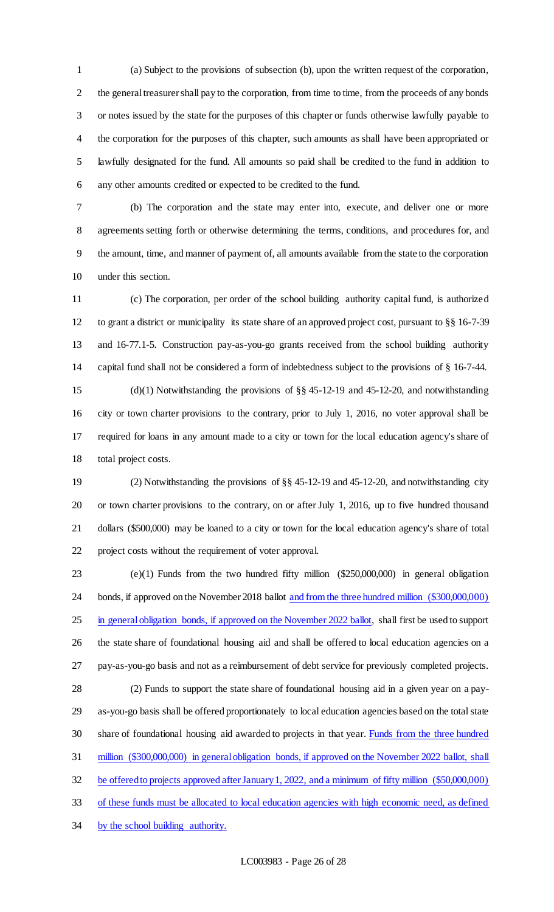(a) Subject to the provisions of subsection (b), upon the written request of the corporation, the general treasurer shall pay to the corporation, from time to time, from the proceeds of any bonds or notes issued by the state for the purposes of this chapter or funds otherwise lawfully payable to the corporation for the purposes of this chapter, such amounts as shall have been appropriated or lawfully designated for the fund. All amounts so paid shall be credited to the fund in addition to any other amounts credited or expected to be credited to the fund.

 (b) The corporation and the state may enter into, execute, and deliver one or more agreements setting forth or otherwise determining the terms, conditions, and procedures for, and the amount, time, and manner of payment of, all amounts available from the state to the corporation under this section.

 (c) The corporation, per order of the school building authority capital fund, is authorized to grant a district or municipality its state share of an approved project cost, pursuant to §§ 16-7-39 and 16-77.1-5. Construction pay-as-you-go grants received from the school building authority capital fund shall not be considered a form of indebtedness subject to the provisions of § 16-7-44. (d)(1) Notwithstanding the provisions of §§ 45-12-19 and 45-12-20, and notwithstanding city or town charter provisions to the contrary, prior to July 1, 2016, no voter approval shall be required for loans in any amount made to a city or town for the local education agency's share of

total project costs.

 (2) Notwithstanding the provisions of §§ 45-12-19 and 45-12-20, and notwithstanding city or town charter provisions to the contrary, on or after July 1, 2016, up to five hundred thousand dollars (\$500,000) may be loaned to a city or town for the local education agency's share of total project costs without the requirement of voter approval.

 (e)(1) Funds from the two hundred fifty million (\$250,000,000) in general obligation 24 bonds, if approved on the November 2018 ballot and from the three hundred million (\$300,000,000) 25 in general obligation bonds, if approved on the November 2022 ballot, shall first be used to support the state share of foundational housing aid and shall be offered to local education agencies on a pay-as-you-go basis and not as a reimbursement of debt service for previously completed projects. (2) Funds to support the state share of foundational housing aid in a given year on a pay- as-you-go basis shall be offered proportionately to local education agencies based on the total state 30 share of foundational housing aid awarded to projects in that year. Funds from the three hundred million (\$300,000,000) in general obligation bonds, if approved on the November 2022 ballot, shall be offered to projects approved after January 1, 2022, and a minimum of fifty million (\$50,000,000) of these funds must be allocated to local education agencies with high economic need, as defined

by the school building authority.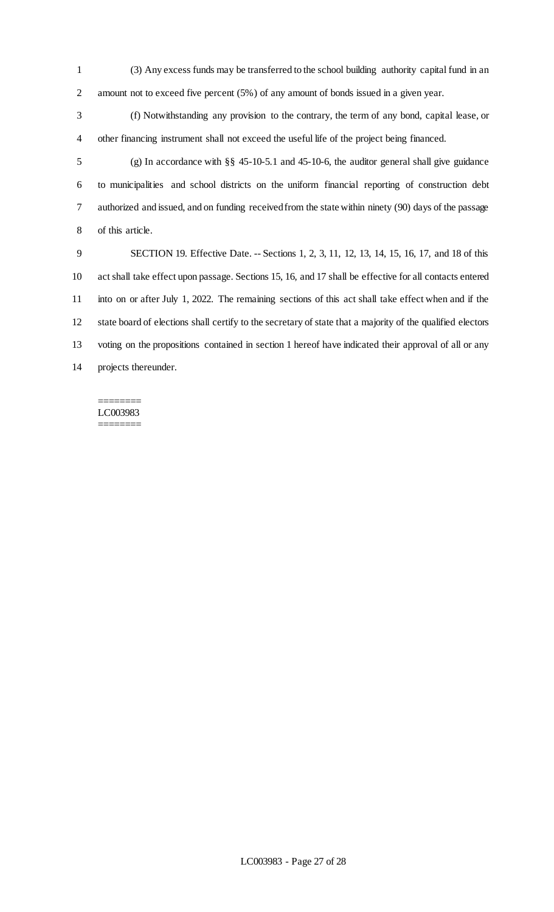(3) Any excess funds may be transferred to the school building authority capital fund in an amount not to exceed five percent (5%) of any amount of bonds issued in a given year.

 (f) Notwithstanding any provision to the contrary, the term of any bond, capital lease, or other financing instrument shall not exceed the useful life of the project being financed.

 (g) In accordance with §§ 45-10-5.1 and 45-10-6, the auditor general shall give guidance to municipalities and school districts on the uniform financial reporting of construction debt authorized and issued, and on funding received from the state within ninety (90) days of the passage of this article.

 SECTION 19. Effective Date. -- Sections 1, 2, 3, 11, 12, 13, 14, 15, 16, 17, and 18 of this act shall take effect upon passage. Sections 15, 16, and 17 shall be effective for all contacts entered into on or after July 1, 2022. The remaining sections of this act shall take effect when and if the state board of elections shall certify to the secretary of state that a majority of the qualified electors voting on the propositions contained in section 1 hereof have indicated their approval of all or any projects thereunder.

#### ======== LC003983 ========